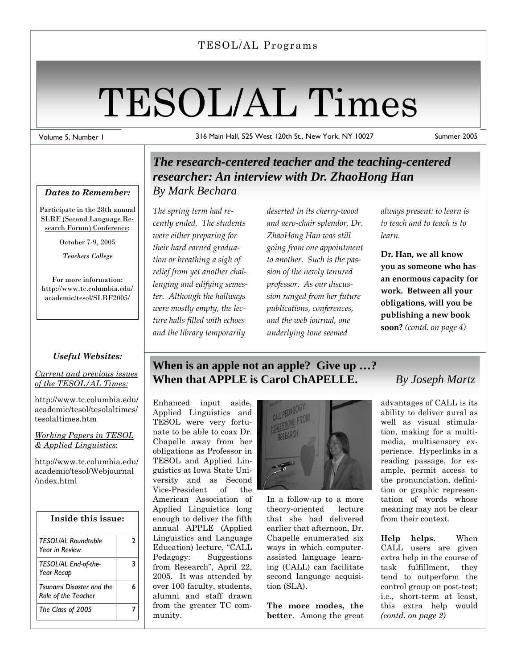#### TESOL/AL Programs

# TESOL/AL Times

Volume 5, Number 1

316 Main Hall, 525 West 120th St., New York, NY 10027 Summer 2005

#### *Dates to Remember:*

Participate in the 28th annual SLRF (Second Language Research Forum) Conference:

October 7-9, 2005

*Teachers College*

For more information: http://www.tc.columbia.edu/ academic/tesol/SLRF2005/

#### *Useful Websites:*

*Current and previous issues of the TESOL/AL Times:*

http://www.tc.columbia.edu/ academic/tesol/tesolaltimes/ tesolaltimes.htm

#### *Working Papers in TESOL & Applied Linguistics*:

http://www.tc.columbia.edu/ academic/tesol/Webjournal /index.html

| Inside this issue:                              |   |  |
|-------------------------------------------------|---|--|
| <b>TESOL/AL Roundtable</b><br>Year in Review    | 2 |  |
| TESOL/AL End-of-the-<br>Year Recap              | 3 |  |
| Tsunami Disaster and the<br>Role of the Teacher | 6 |  |
| The Class of 2005                               |   |  |

### *The research-centered teacher and the teaching-centered researcher: An interview with Dr. ZhaoHong Han By Mark Bechara*

*The spring term had re‐ cently ended. The students were either preparing for their hard earned gradua‐ tion or breathing a sigh of relief from yet another chal‐ lenging and edifying semes‐ ter. Although the hallways were mostly empty, the lec‐ ture halls filled with echoes and the library temporarily*

*deserted in its cherry‐wood and aero‐chair splendor, Dr. ZhaoHong Han was still going from one appointment to another. Such is the pas‐ sion of the newly tenured professor. As our discus‐ sion ranged from her future publications, conferences, and the web journal, one underlying tone seemed*

*always present: to learn is to teach and to teach is to learn.*

**Dr. Han, we all know you as someone who has an enormous capacity for work. Between all your obligations, will you be publishing a new book soon?** *(contd. on page 4)*

### **When is an apple not an apple? Give up …? When that APPLE is Carol ChAPELLE.** *By Joseph Martz*

Enhanced input aside, Applied Linguistics and TESOL were very fortunate to be able to coax Dr. Chapelle away from her obligations as Professor in TESOL and Applied Linguistics at Iowa State University and as Second Vice-President of the American Association of Applied Linguistics long enough to deliver the fifth annual APPLE (Applied Linguistics and Language Education) lecture, "CALL Pedagogy: Suggestions from Research", April 22, 2005. It was attended by over 100 faculty, students, alumni and staff drawn from the greater TC community.



In a follow-up to a more theory-oriented lecture that she had delivered earlier that afternoon, Dr. Chapelle enumerated six ways in which computerassisted language learning (CALL) can facilitate second language acquisition (SLA).

**The more modes, the better**. Among the great

advantages of CALL is its ability to deliver aural as well as visual stimulation, making for a multimedia, multisensory experience. Hyperlinks in a reading passage, for example, permit access to the pronunciation, definition or graphic representation of words whose meaning may not be clear from their context.

**Help helps.** When CALL users are given extra help in the course of task fulfillment, they tend to outperform the control group on post-test; i.e., short-term at least, this extra help would *(contd. on page 2)*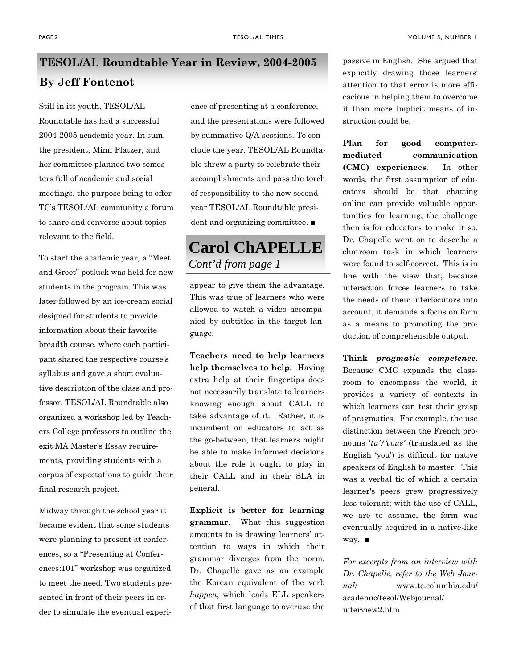# **TESOL/AL Roundtable Year in Review, 2004-2005 By Jeff Fontenot**

Still in its youth, TESOL/AL Roundtable has had a successful 2004-2005 academic year. In sum, the president, Mimi Platzer, and her committee planned two semesters full of academic and social meetings, the purpose being to offer TC's TESOL/AL community a forum to share and converse about topics relevant to the field.

To start the academic year, a "Meet and Greet" potluck was held for new students in the program. This was later followed by an ice-cream social designed for students to provide information about their favorite breadth course, where each participant shared the respective course's syllabus and gave a short evaluative description of the class and professor. TESOL/AL Roundtable also organized a workshop led by Teachers College professors to outline the exit MA Master's Essay requirements, providing students with a corpus of expectations to guide their final research project.

Midway through the school year it became evident that some students were planning to present at conferences, so a "Presenting at Conferences:101" workshop was organized to meet the need. Two students presented in front of their peers in order to simulate the eventual experience of presenting at a conference, and the presentations were followed by summative Q/A sessions. To conclude the year, TESOL/AL Roundtable threw a party to celebrate their accomplishments and pass the torch of responsibility to the new secondyear TESOL/AL Roundtable president and organizing committee. ■

## **Carol ChAPELLE**  *Cont'd from page 1*

appear to give them the advantage. This was true of learners who were allowed to watch a video accompanied by subtitles in the target language.

**Teachers need to help learners help themselves to help**. Having extra help at their fingertips does not necessarily translate to learners knowing enough about CALL to take advantage of it. Rather, it is incumbent on educators to act as the go-between, that learners might be able to make informed decisions about the role it ought to play in their CALL and in their SLA in general.

**Explicit is better for learning grammar**. What this suggestion amounts to is drawing learners' attention to ways in which their grammar diverges from the norm. Dr. Chapelle gave as an example the Korean equivalent of the verb *happen*, which leads ELL speakers of that first language to overuse the

passive in English. She argued that explicitly drawing those learners' attention to that error is more efficacious in helping them to overcome it than more implicit means of instruction could be.

**Plan for good computermediated communication (CMC) experiences**. In other words, the first assumption of educators should be that chatting online can provide valuable opportunities for learning; the challenge then is for educators to make it so. Dr. Chapelle went on to describe a chatroom task in which learners were found to self-correct. This is in line with the view that, because interaction forces learners to take the needs of their interlocutors into account, it demands a focus on form as a means to promoting the production of comprehensible output.

**Think** *pragmatic competence*. Because CMC expands the classroom to encompass the world, it provides a variety of contexts in which learners can test their grasp of pragmatics. For example, the use distinction between the French pronouns '*tu'/'vous'* (translated as the English 'you') is difficult for native speakers of English to master. This was a verbal tic of which a certain learner's peers grew progressively less tolerant; with the use of CALL, we are to assume, the form was eventually acquired in a native-like way. ■

*For excerpts from an interview with Dr. Chapelle, refer to the Web Journal:* www.tc.columbia.edu/ academic/tesol/Webjournal/ interview2.htm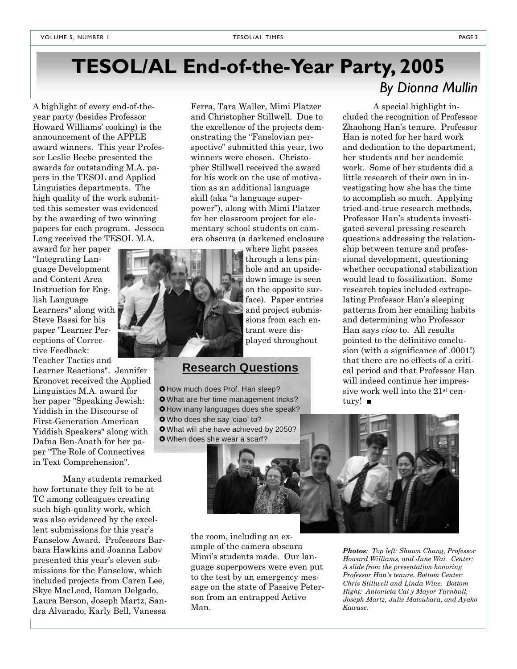# **TESOL/AL End-of-the-Year Party, 2005**

A highlight of every end-of-theyear party (besides Professor Howard Williams' cooking) is the announcement of the APPLE award winners. This year Professor Leslie Beebe presented the awards for outstanding M.A. papers in the TESOL and Applied Linguistics departments. The high quality of the work submitted this semester was evidenced by the awarding of two winning papers for each program. Jesseca Long received the TESOL M.A.

award for her paper "Integrating Language Development and Content Area Instruction for English Language Learners" along with Steve Bassi for his paper "Learner Perceptions of Corrective Feedback: Teacher Tactics and

Learner Reactions". Jennifer Kronovet received the Applied Linguistics M.A. award for her paper "Speaking Jewish: Yiddish in the Discourse of First-Generation American Yiddish Speakers" along with Dafna Ben-Anath for her paper "The Role of Connectives in Text Comprehension".

 Many students remarked how fortunate they felt to be at TC among colleagues creating such high-quality work, which was also evidenced by the excellent submissions for this year's Fanselow Award. Professors Barbara Hawkins and Joanna Labov presented this year's eleven submissions for the Fanselow, which included projects from Caren Lee, Skye MacLeod, Roman Delgado, Laura Berson, Joseph Martz, Sandra Alvarado, Karly Bell, Vanessa

Ferra, Tara Waller, Mimi Platzer and Christopher Stillwell. Due to the excellence of the projects demonstrating the "Fanslovian perspective" submitted this year, two winners were chosen. Christopher Stillwell received the award for his work on the use of motivation as an additional language skill (aka "a language superpower"), along with Mimi Platzer for her classroom project for elementary school students on camera obscura (a darkened enclosure

> where light passes through a lens pinhole and an upsidedown image is seen on the opposite surface). Paper entries and project submissions from each entrant were displayed throughout

### **Research Questions**

**O** How much does Prof. Han sleep? **O** What are her time management tricks?

- **O** How many languages does she speak? **O** Who does she say 'ciao' to?
- 
- **O** When does she wear a scarf?



 A special highlight included the recognition of Professor Zhaohong Han's tenure. Professor Han is noted for her hard work and dedication to the department, her students and her academic work. Some of her students did a little research of their own in investigating how she has the time to accomplish so much. Applying tried-and-true research methods, Professor Han's students investigated several pressing research questions addressing the relationship between tenure and professional development, questioning whether occupational stabilization would lead to fossilization. Some research topics included extrapolating Professor Han's sleeping patterns from her emailing habits and determining who Professor Han says *ciao* to. All results pointed to the definitive conclusion (with a significance of .0001!) that there are no effects of a critical period and that Professor Han will indeed continue her impressive work well into the 21st century! ■



the room, including an example of the camera obscura Mimi's students made. Our language superpowers were even put to the test by an emergency message on the state of Passive Peterson from an entrapped Active Man.

*Photos: Top left: Shawn Chang, Professor Howard Williams, and June Wai. Center: A slide from the presentation honoring Professor Han's tenure. Bottom Center: Chris Stillwell and Linda Wine. Bottom Right: Antonieta Cal y Mayor Turnbull, Joseph Martz, Julie Matsubara, and Ayako Kawase.*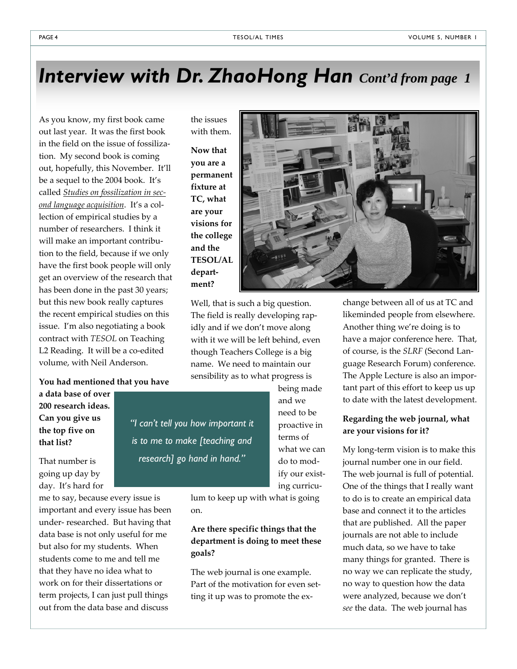# *Interview with Dr. ZhaoHong Han Cont'd from page 1*

As you know, my first book came out last year. It was the first book in the field on the issue of fossiliza‐ tion. My second book is coming out, hopefully, this November. It'll be a sequel to the 2004 book. It's called *Studies on fossilization in sec‐ ond language acquisition*. It's a col‐ lection of empirical studies by a number of researchers. I think it will make an important contribution to the field, because if we only have the first book people will only get an overview of the research that has been done in the past 30 years; but this new book really captures the recent empirical studies on this issue. I'm also negotiating a book contract with *TESOL* on Teaching L2 Reading. It will be a co-edited volume, with Neil Anderson.

#### **You had mentioned that you have**

**a data base of over 200 research ideas. Can you give us the top five on that list?**

That number is going up day by day. It's hard for

me to say, because every issue is important and every issue has been under‐ researched. But having that data base is not only useful for me but also for my students. When students come to me and tell me that they have no idea what to work on for their dissertations or term projects, I can just pull things out from the data base and discuss

with them. **Now that you are a permanent fixture at TC, what are your visions for the college and the TESOL/AL depart‐ ment?**

*"I can't tell you how important it* 

*is to me to make [teaching and* 

*research] go hand in hand."* 

the issues



Well, that is such a big question. The field is really developing rap‐ idly and if we don't move along with it we will be left behind, even though Teachers College is a big name. We need to maintain our sensibility as to what progress is

> being made and we need to be proactive in terms of what we can do to mod‐ ify our exist‐ ing curricu‐

lum to keep up with what is going on.

#### **Are there specific things that the department is doing to meet these goals?**

The web journal is one example. Part of the motivation for even set‐ ting it up was to promote the ex‐

change between all of us at TC and likeminded people from elsewhere. Another thing we're doing is to have a major conference here. That, of course, is the *SLRF* (Second Lan‐ guage Research Forum) conference. The Apple Lecture is also an impor‐ tant part of this effort to keep us up to date with the latest development.

#### **Regarding the web journal, what are your visions for it?**

My long‐term vision is to make this journal number one in our field. The web journal is full of potential. One of the things that I really want to do is to create an empirical data base and connect it to the articles that are published. All the paper journals are not able to include much data, so we have to take many things for granted. There is no way we can replicate the study, no way to question how the data were analyzed, because we don't *see* the data. The web journal has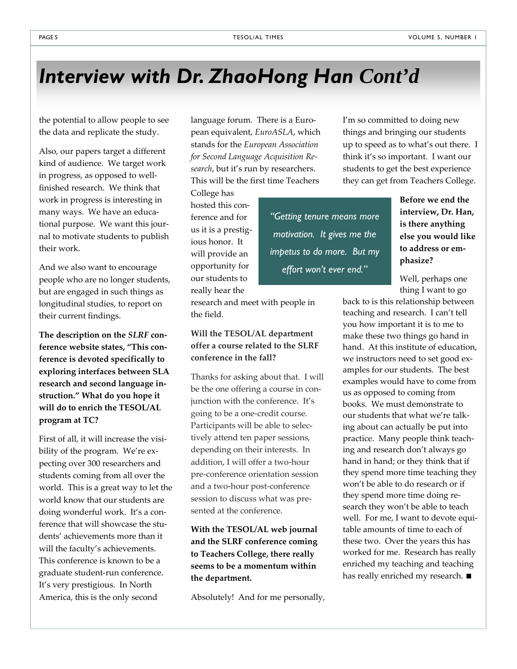# *Interview with Dr. ZhaoHong Han Cont'd*

the potential to allow people to see the data and replicate the study.

Also, our papers target a different kind of audience. We target work in progress, as opposed to well‐ finished research. We think that work in progress is interesting in many ways. We have an educa‐ tional purpose. We want this jour‐ nal to motivate students to publish their work.

And we also want to encourage people who are no longer students, but are engaged in such things as longitudinal studies, to report on their current findings.

**The description on the** *SLRF* **con‐ ference website states, "This con‐ ference is devoted specifically to exploring interfaces between SLA research and second language in‐ struction." What do you hope it will do to enrich the TESOL/AL program at TC?**

First of all, it will increase the visi‐ bility of the program. We're expecting over 300 researchers and students coming from all over the world. This is a great way to let the world know that our students are doing wonderful work. It's a con‐ ference that will showcase the students' achievements more than it will the faculty's achievements. This conference is known to be a graduate student‐run conference. It's very prestigious. In North America, this is the only second

language forum. There is a European equivalent, *EuroASLA*, which stands for the *European Association for Second Language Acquisition Re‐ search*, but it's run by researchers. This will be the first time Teachers

College has hosted this con‐ ference and for us it is a prestig‐ ious honor. It will provide an opportunity for our students to really hear the

*"Getting tenure means more motivation. It gives me the impetus to do more. But my effort won't ever end."* 

research and meet with people in the field.

#### **Will the TESOL/AL department offer a course related to the SLRF conference in the fall?**

Thanks for asking about that. I will be the one offering a course in conjunction with the conference. It's going to be a one‐credit course. Participants will be able to selec‐ tively attend ten paper sessions, depending on their interests. In addition, I will offer a two‐hour pre‐conference orientation session and a two‐hour post‐conference session to discuss what was pre‐ sented at the conference.

**With the TESOL/AL web journal and the SLRF conference coming to Teachers College, there really seems to be a momentum within the department.** 

Absolutely! And for me personally,

I'm so committed to doing new things and bringing our students up to speed as to what's out there. I think it's so important. I want our students to get the best experience they can get from Teachers College.

> **Before we end the interview, Dr. Han, is there anything else you would like to address or em‐ phasize?**

Well, perhaps one thing I want to go

back to is this relationship between teaching and research. I can't tell you how important it is to me to make these two things go hand in hand. At this institute of education, we instructors need to set good examples for our students. The best examples would have to come from us as opposed to coming from books. We must demonstrate to our students that what we're talk‐ ing about can actually be put into practice. Many people think teach‐ ing and research don't always go hand in hand; or they think that if they spend more time teaching they won't be able to do research or if they spend more time doing re‐ search they won't be able to teach well. For me, I want to devote equitable amounts of time to each of these two. Over the years this has worked for me. Research has really enriched my teaching and teaching has really enriched my research. ■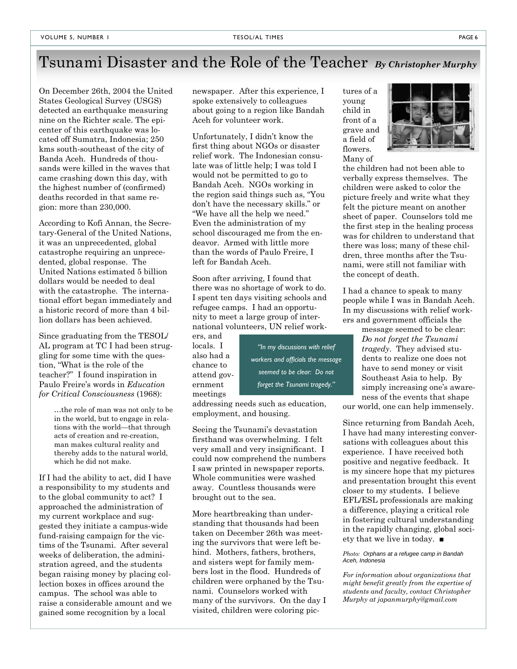# Tsunami Disaster and the Role of the Teacher*By Christopher Murphy*

On December 26th, 2004 the United States Geological Survey (USGS) detected an earthquake measuring nine on the Richter scale. The epicenter of this earthquake was located off Sumatra, Indonesia; 250 kms south-southeast of the city of Banda Aceh. Hundreds of thousands were killed in the waves that came crashing down this day, with the highest number of (confirmed) deaths recorded in that same region: more than 230,000.

According to Kofi Annan, the Secretary-General of the United Nations, it was an unprecedented, global catastrophe requiring an unprecedented, global response. The United Nations estimated 5 billion dollars would be needed to deal with the catastrophe. The international effort began immediately and a historic record of more than 4 billion dollars has been achieved.

Since graduating from the TESOL/ AL program at TC I had been struggling for some time with the question, "What is the role of the teacher?" I found inspiration in Paulo Freire's words in *Education for Critical Consciousness* (1968):

> …the role of man was not only to be in the world, but to engage in relations with the world—that through acts of creation and re-creation, man makes cultural reality and thereby adds to the natural world, which he did not make.

If I had the ability to act, did I have a responsibility to my students and to the global community to act? I approached the administration of my current workplace and suggested they initiate a campus-wide fund-raising campaign for the victims of the Tsunami. After several weeks of deliberation, the administration agreed, and the students began raising money by placing collection boxes in offices around the campus. The school was able to raise a considerable amount and we gained some recognition by a local

newspaper. After this experience, I spoke extensively to colleagues about going to a region like Bandah Aceh for volunteer work.

Unfortunately, I didn't know the first thing about NGOs or disaster relief work. The Indonesian consulate was of little help; I was told I would not be permitted to go to Bandah Aceh. NGOs working in the region said things such as, "You don't have the necessary skills." or "We have all the help we need." Even the administration of my school discouraged me from the endeavor. Armed with little more than the words of Paulo Freire, I left for Bandah Aceh.

Soon after arriving, I found that there was no shortage of work to do. I spent ten days visiting schools and refugee camps. I had an opportunity to meet a large group of international volunteers, UN relief work-

ers, and locals. I also had a chance to attend government meetings

*seemed to be clear: Do not forget the Tsunami tragedy."* 

*"In my discussions with relief workers and officials the message* 

addressing needs such as education, employment, and housing.

Seeing the Tsunami's devastation firsthand was overwhelming. I felt very small and very insignificant. I could now comprehend the numbers I saw printed in newspaper reports. Whole communities were washed away. Countless thousands were brought out to the sea.

More heartbreaking than understanding that thousands had been taken on December 26th was meeting the survivors that were left behind. Mothers, fathers, brothers, and sisters wept for family members lost in the flood. Hundreds of children were orphaned by the Tsunami. Counselors worked with many of the survivors. On the day I visited, children were coloring pictures of a young child in front of a grave and a field of flowers. Many of



the children had not been able to verbally express themselves. The children were asked to color the picture freely and write what they felt the picture meant on another sheet of paper. Counselors told me the first step in the healing process was for children to understand that there was loss; many of these children, three months after the Tsunami, were still not familiar with the concept of death.

I had a chance to speak to many people while I was in Bandah Aceh. In my discussions with relief workers and government officials the

> message seemed to be clear: *Do not forget the Tsunami tragedy*. They advised students to realize one does not have to send money or visit Southeast Asia to help. By simply increasing one's awareness of the events that shape

our world, one can help immensely.

Since returning from Bandah Aceh, I have had many interesting conversations with colleagues about this experience. I have received both positive and negative feedback. It is my sincere hope that my pictures and presentation brought this event closer to my students. I believe EFL/ESL professionals are making a difference, playing a critical role in fostering cultural understanding in the rapidly changing, global society that we live in today. ■

#### *Photo: Orphans at a refugee camp in Bandah Aceh, Indonesia*

*For information about organizations that might benefit greatly from the expertise of students and faculty, contact Christopher Murphy at japanmurphy@gmail.com*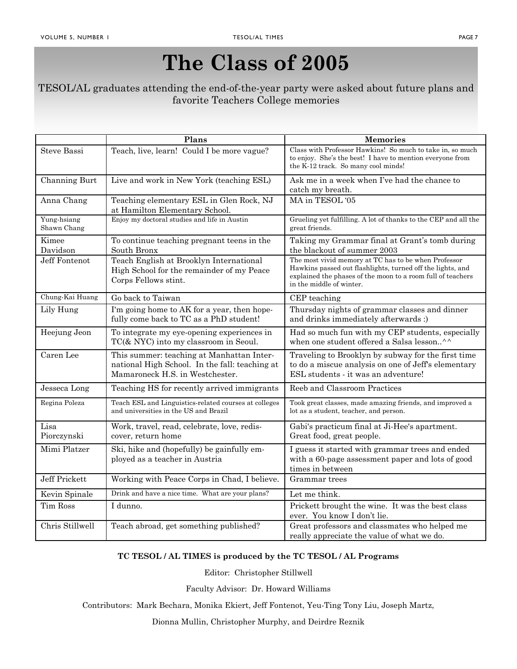# **The Class of 2005**

#### TESOL/AL graduates attending the end-of-the-year party were asked about future plans and favorite Teachers College memories

|                            | Plans                                                                                                                          | <b>Memories</b>                                                                                                                                                                                               |
|----------------------------|--------------------------------------------------------------------------------------------------------------------------------|---------------------------------------------------------------------------------------------------------------------------------------------------------------------------------------------------------------|
| <b>Steve Bassi</b>         | Teach, live, learn! Could I be more vague?                                                                                     | Class with Professor Hawkins! So much to take in, so much<br>to enjoy. She's the best! I have to mention everyone from<br>the K-12 track. So many cool minds!                                                 |
| Channing Burt              | Live and work in New York (teaching ESL)                                                                                       | Ask me in a week when I've had the chance to<br>catch my breath.                                                                                                                                              |
| Anna Chang                 | Teaching elementary ESL in Glen Rock, NJ<br>at Hamilton Elementary School.                                                     | MA in TESOL '05                                                                                                                                                                                               |
| Yung-hsiang<br>Shawn Chang | Enjoy my doctoral studies and life in Austin                                                                                   | Grueling yet fulfilling. A lot of thanks to the CEP and all the<br>great friends.                                                                                                                             |
| Kimee<br>Davidson          | To continue teaching pregnant teens in the<br>South Bronx                                                                      | Taking my Grammar final at Grant's tomb during<br>the blackout of summer 2003                                                                                                                                 |
| Jeff Fontenot              | Teach English at Brooklyn International<br>High School for the remainder of my Peace<br>Corps Fellows stint.                   | The most vivid memory at TC has to be when Professor<br>Hawkins passed out flashlights, turned off the lights, and<br>explained the phases of the moon to a room full of teachers<br>in the middle of winter. |
| Chung-Kai Huang            | Go back to Taiwan                                                                                                              | CEP teaching                                                                                                                                                                                                  |
| Lily Hung                  | I'm going home to AK for a year, then hope-<br>fully come back to TC as a PhD student!                                         | Thursday nights of grammar classes and dinner<br>and drinks immediately afterwards :)                                                                                                                         |
| Heejung Jeon               | To integrate my eye-opening experiences in<br>TC(& NYC) into my classroom in Seoul.                                            | Had so much fun with my CEP students, especially<br>when one student offered a Salsa lesson^^                                                                                                                 |
| Caren Lee                  | This summer: teaching at Manhattan Inter-<br>national High School. In the fall: teaching at<br>Mamaroneck H.S. in Westchester. | Traveling to Brooklyn by subway for the first time<br>to do a miscue analysis on one of Jeff's elementary<br>ESL students - it was an adventure!                                                              |
| Jesseca Long               | Teaching HS for recently arrived immigrants                                                                                    | Reeb and Classroom Practices                                                                                                                                                                                  |
| Regina Poleza              | Teach ESL and Linguistics-related courses at colleges<br>and universities in the US and Brazil                                 | Took great classes, made amazing friends, and improved a<br>lot as a student, teacher, and person.                                                                                                            |
| Lisa<br>Piorczynski        | Work, travel, read, celebrate, love, redis-<br>cover, return home                                                              | Gabi's practicum final at Ji-Hee's apartment.<br>Great food, great people.                                                                                                                                    |
| Mimi Platzer               | Ski, hike and (hopefully) be gainfully em-<br>ployed as a teacher in Austria                                                   | I guess it started with grammar trees and ended<br>with a 60-page assessment paper and lots of good<br>times in between                                                                                       |
| Jeff Prickett              | Working with Peace Corps in Chad, I believe.                                                                                   | Grammar trees                                                                                                                                                                                                 |
| Kevin Spinale              | Drink and have a nice time. What are your plans?                                                                               | Let me think.                                                                                                                                                                                                 |
| Tim Ross                   | I dunno.                                                                                                                       | Prickett brought the wine. It was the best class<br>ever. You know I don't lie.                                                                                                                               |
| Chris Stillwell            | Teach abroad, get something published?                                                                                         | Great professors and classmates who helped me<br>really appreciate the value of what we do.                                                                                                                   |

#### **TC TESOL / AL TIMES is produced by the TC TESOL / AL Programs**

Editor: Christopher Stillwell

Faculty Advisor: Dr. Howard Williams

Contributors: Mark Bechara, Monika Ekiert, Jeff Fontenot, Yeu-Ting Tony Liu, Joseph Martz,

Dionna Mullin, Christopher Murphy, and Deirdre Reznik